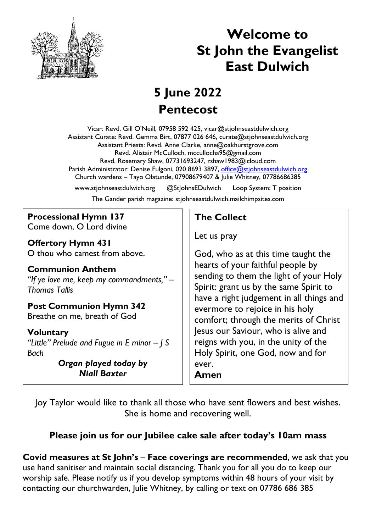

# **Welcome to St John the Evangelist East Dulwich**

# **5 June 2022 Pentecost**

Vicar: Revd. Gill O'Neill, 07958 592 425, vicar@stjohnseastdulwich.org Assistant Curate: Revd. Gemma Birt, 07877 026 646, curate@stjohnseastdulwich.org Assistant Priests: Revd. Anne Clarke, anne@oakhurstgrove.com Revd. Alistair McCulloch, mccullocha95@gmail.com Revd. Rosemary Shaw, 07731693247, rshaw1983@icloud.com Parish Administrator: Denise Fulgoni, 020 8693 3897, [office@stjohnseastdulwich.org](mailto:office@stjohnseastdulwich.org) Church wardens – Tayo Olatunde, 07908679407 & Julie Whitney, 07786686385

www.stjohnseastdulwich.org @StJohnsEDulwich Loop System: T position The Gander parish magazine: stjohnseastdulwich.mailchimpsites.com

# **Processional Hymn 137**

Come down, O Lord divine

**Offertory Hymn 431** O thou who camest from above.

**Communion Anthem** *"If ye love me, keep my commandments," – Thomas Tallis*

**Post Communion Hymn 342** Breathe on me, breath of God

**Voluntary** *"Little" Prelude and Fugue in E minor – J S Bach*

> *Organ played today by Niall Baxter*

### **The Collect**

Let us pray

God, who as at this time taught the hearts of your faithful people by sending to them the light of your Holy Spirit: grant us by the same Spirit to have a right judgement in all things and evermore to rejoice in his holy comfort; through the merits of Christ Jesus our Saviour, who is alive and reigns with you, in the unity of the Holy Spirit, one God, now and for ever. **Amen**

Joy Taylor would like to thank all those who have sent flowers and best wishes. She is home and recovering well.

### **Please join us for our Jubilee cake sale after today's 10am mass**

**Covid measures at St John's** – **Face coverings are recommended**, we ask that you use hand sanitiser and maintain social distancing. Thank you for all you do to keep our worship safe. Please notify us if you develop symptoms within 48 hours of your visit by contacting our churchwarden, Julie Whitney, by calling or text on 07786 686 385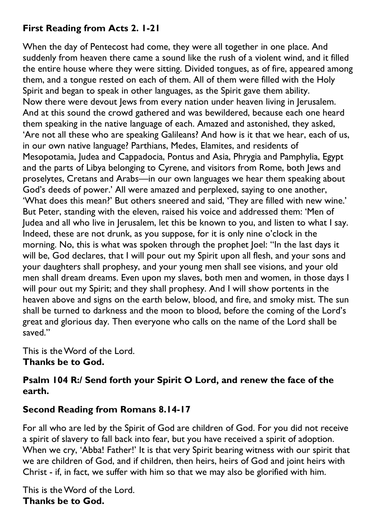# **First Reading from Acts 2. 1-21**

When the day of Pentecost had come, they were all together in one place. And suddenly from heaven there came a sound like the rush of a violent wind, and it filled the entire house where they were sitting. Divided tongues, as of fire, appeared among them, and a tongue rested on each of them. All of them were filled with the Holy Spirit and began to speak in other languages, as the Spirit gave them ability. Now there were devout lews from every nation under heaven living in Jerusalem. And at this sound the crowd gathered and was bewildered, because each one heard them speaking in the native language of each. Amazed and astonished, they asked, 'Are not all these who are speaking Galileans? And how is it that we hear, each of us, in our own native language? Parthians, Medes, Elamites, and residents of Mesopotamia, Judea and Cappadocia, Pontus and Asia, Phrygia and Pamphylia, Egypt and the parts of Libya belonging to Cyrene, and visitors from Rome, both Jews and proselytes, Cretans and Arabs—in our own languages we hear them speaking about God's deeds of power.' All were amazed and perplexed, saying to one another, 'What does this mean?' But others sneered and said, 'They are filled with new wine.' But Peter, standing with the eleven, raised his voice and addressed them: 'Men of Judea and all who live in Jerusalem, let this be known to you, and listen to what I say. Indeed, these are not drunk, as you suppose, for it is only nine o'clock in the morning. No, this is what was spoken through the prophet Joel: "In the last days it will be, God declares, that I will pour out my Spirit upon all flesh, and your sons and your daughters shall prophesy, and your young men shall see visions, and your old men shall dream dreams. Even upon my slaves, both men and women, in those days I will pour out my Spirit; and they shall prophesy. And I will show portents in the heaven above and signs on the earth below, blood, and fire, and smoky mist. The sun shall be turned to darkness and the moon to blood, before the coming of the Lord's great and glorious day. Then everyone who calls on the name of the Lord shall be saved."

This is the Word of the Lord. **Thanks be to God.**

### **Psalm 104 R:/ Send forth your Spirit O Lord, and renew the face of the earth.**

### **Second Reading from Romans 8.14-17**

For all who are led by the Spirit of God are children of God. For you did not receive a spirit of slavery to fall back into fear, but you have received a spirit of adoption. When we cry, 'Abba! Father!' It is that very Spirit bearing witness with our spirit that we are children of God, and if children, then heirs, heirs of God and joint heirs with Christ - if, in fact, we suffer with him so that we may also be glorified with him.

This is the Word of the Lord. **Thanks be to God.**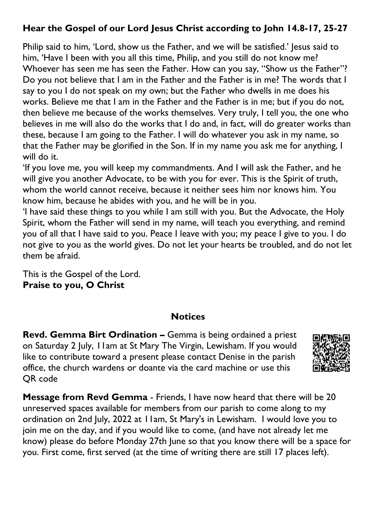# **Hear the Gospel of our Lord Jesus Christ according to John 14.8-17, 25-27**

Philip said to him, 'Lord, show us the Father, and we will be satisfied.' Jesus said to him, 'Have I been with you all this time, Philip, and you still do not know me? Whoever has seen me has seen the Father. How can you say, "Show us the Father"? Do you not believe that I am in the Father and the Father is in me? The words that I say to you I do not speak on my own; but the Father who dwells in me does his works. Believe me that I am in the Father and the Father is in me; but if you do not, then believe me because of the works themselves. Very truly, I tell you, the one who believes in me will also do the works that I do and, in fact, will do greater works than these, because I am going to the Father. I will do whatever you ask in my name, so that the Father may be glorified in the Son. If in my name you ask me for anything, I will do it.

'If you love me, you will keep my commandments. And I will ask the Father, and he will give you another Advocate, to be with you for ever. This is the Spirit of truth, whom the world cannot receive, because it neither sees him nor knows him. You know him, because he abides with you, and he will be in you.

'I have said these things to you while I am still with you. But the Advocate, the Holy Spirit, whom the Father will send in my name, will teach you everything, and remind you of all that I have said to you. Peace I leave with you; my peace I give to you. I do not give to you as the world gives. Do not let your hearts be troubled, and do not let them be afraid.

This is the Gospel of the Lord. **Praise to you, O Christ**

#### **Notices**

**Revd. Gemma Birt Ordination –** Gemma is being ordained a priest on Saturday 2 July, 11am at St Mary The Virgin, Lewisham. If you would like to contribute toward a present please contact Denise in the parish office, the church wardens or doante via the card machine or use this QR code



**Message from Revd Gemma** - Friends, I have now heard that there will be 20 unreserved spaces available for members from our parish to come along to my ordination on 2nd July, 2022 at 11am, St Mary's in Lewisham. I would love you to join me on the day, and if you would like to come, (and have not already let me know) please do before Monday 27th June so that you know there will be a space for you. First come, first served (at the time of writing there are still 17 places left).